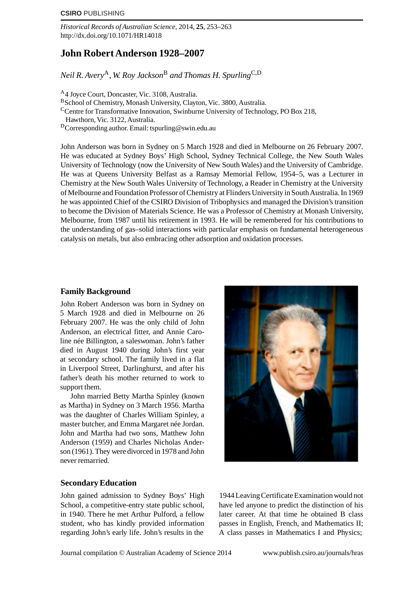*Historical Records of Australian Science*, 2014, **25**, 253–26[3](http://dx.doi.org/10.1071/HR14018) <http://dx.doi.org/10.1071/HR14018>

# **John RobertAnderson 1928–2007**

*Neil R. Avery*A*, W. Roy Jackson*<sup>B</sup> *and Thomas H. Spurling*C,D

A4 Joyce Court, Doncaster, Vic. 3108, Australia.

BSchool of Chemistry, Monash University, Clayton, Vic. 3800, Australia.

<sup>C</sup>Centre for Transformative Innovation, Swinburne University of Technology, PO Box 218,

Hawthorn, Vic. 3122, Australia. DCorresponding author. Email: [tspurling@swin.edu.au](mailto:tspurling@swin.edu.au)

John Anderson was born in Sydney on 5 March 1928 and died in Melbourne on 26 February 2007. He was educated at Sydney Boys' High School, Sydney Technical College, the New South Wales University of Technology (now the University of New South Wales) and the University of Cambridge. He was at Queens University Belfast as a Ramsay Memorial Fellow, 1954–5, was a Lecturer in Chemistry at the New South Wales University of Technology, a Reader in Chemistry at the University of Melbourne and Foundation Professor of Chemistry at Flinders University in South Australia. In 1969 he was appointed Chief of the CSIRO Division of Tribophysics and managed the Division's transition to become the Division of Materials Science. He was a Professor of Chemistry at Monash University, Melbourne, from 1987 until his retirement in 1993. He will be remembered for his contributions to the understanding of gas–solid interactions with particular emphasis on fundamental heterogeneous catalysis on metals, but also embracing other adsorption and oxidation processes.

### **Family Background**

John Robert Anderson was born in Sydney on 5 March 1928 and died in Melbourne on 26 February 2007. He was the only child of John Anderson, an electrical fitter, and Annie Caroline née Billington, a saleswoman. John's father died in August 1940 during John's first year at secondary school. The family lived in a flat in Liverpool Street, Darlinghurst, and after his father's death his mother returned to work to support them.

John married Betty Martha Spinley (known as Martha) in Sydney on 3 March 1956. Martha was the daughter of Charles William Spinley, a master butcher, and Emma Margaret née Jordan. John and Martha had two sons, Matthew John Anderson (1959) and Charles Nicholas Anderson (1961).They were divorced in 1978 and John never remarried.

## **SecondaryEducation**

John gained admission to Sydney Boys' High School, a competitive-entry state public school, in 1940. There he met Arthur Pulford, a fellow student, who has kindly provided information regarding John's early life. John's results in the



1944LeavingCertificateExamination would not have led anyone to predict the distinction of his later career. At that time he obtained B class passes in English, French, and Mathematics II; A class passes in Mathematics I and Physics;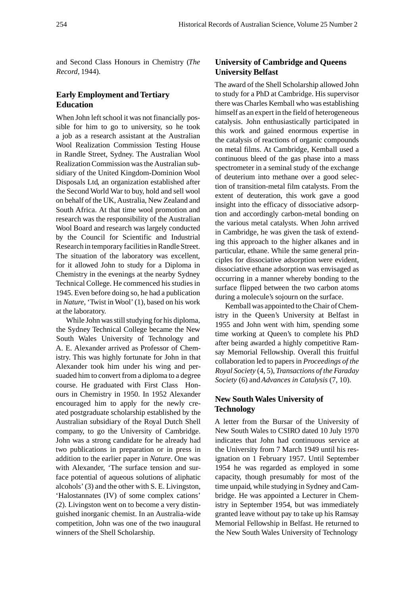and Second Class Honours in Chemistry (*The Record*, 1944).

# **Early Employment andTertiary Education**

When John left school it was not financially possible for him to go to university, so he took a job as a research assistant at the Australian Wool Realization Commission Testing House in Randle Street, Sydney. The Australian Wool Realization Commission wasthe Australian subsidiary of the United Kingdom-Dominion Wool Disposals Ltd, an organization established after the Second World War to buy, hold and sell wool on behalf of the UK, Australia, New Zealand and South Africa. At that time wool promotion and research was the responsibility of the Australian Wool Board and research was largely conducted by the Council for Scientific and Industrial Research in temporary facilities in Randle Street. The situation of the laboratory was excellent, for it allowed John to study for a Diploma in Chemistry in the evenings at the nearby Sydney Technical College. He commenced his studies in 1945. Even before doing so, he had a publication in *Nature*, 'Twist in Wool'(1), based on his work at the laboratory.

While John was still studying for his diploma, the Sydney Technical College became the New South Wales University of Technology and A. E. Alexander arrived as Professor of Chemistry. This was highly fortunate for John in that Alexander took him under his wing and persuaded him to convert from a diploma to a degree course. He graduated with First Class Honours in Chemistry in 1950. In 1952 Alexander encouraged him to apply for the newly created postgraduate scholarship established by the Australian subsidiary of the Royal Dutch Shell company, to go the University of Cambridge. John was a strong candidate for he already had two publications in preparation or in press in addition to the earlier paper in *Nature*. One was with Alexander, 'The surface tension and surface potential of aqueous solutions of aliphatic alcohols' (3) and the other with S. E. Livingston, 'Halostannates (IV) of some complex cations' (2). Livingston went on to become a very distinguished inorganic chemist. In an Australia-wide competition, John was one of the two inaugural winners of the Shell Scholarship.

# **University of Cambridge and Queens University Belfast**

The award of the Shell Scholarship allowed John to study for a PhD at Cambridge. His supervisor there was Charles Kemball who was establishing himself as an expert in the field of heterogeneous catalysis. John enthusiastically participated in this work and gained enormous expertise in the catalysis of reactions of organic compounds on metal films. At Cambridge, Kemball used a continuous bleed of the gas phase into a mass spectrometer in a seminal study of the exchange of deuterium into methane over a good selection of transition-metal film catalysts. From the extent of deuteration, this work gave a good insight into the efficacy of dissociative adsorption and accordingly carbon-metal bonding on the various metal catalysts. When John arrived in Cambridge, he was given the task of extending this approach to the higher alkanes and in particular, ethane. While the same general principles for dissociative adsorption were evident, dissociative ethane adsorption was envisaged as occurring in a manner whereby bonding to the surface flipped between the two carbon atoms during a molecule's sojourn on the surface.

Kemball was appointed to the Chair of Chemistry in the Queen's University at Belfast in 1955 and John went with him, spending some time working at Queen's to complete his PhD after being awarded a highly competitive Ramsay Memorial Fellowship. Overall this fruitful collaboration led to papers in *Proceedings of the Royal Society* (4, 5), *Transactions of the Faraday Society* (6) and *Advances in Catalysis* (7, 10).

# **New SouthWales University of Technology**

A letter from the Bursar of the University of New South Wales to CSIRO dated 10 July 1970 indicates that John had continuous service at the University from 7 March 1949 until his resignation on 1 February 1957. Until September 1954 he was regarded as employed in some capacity, though presumably for most of the time unpaid, while studying in Sydney and Cambridge. He was appointed a Lecturer in Chemistry in September 1954, but was immediately granted leave without pay to take up his Ramsay Memorial Fellowship in Belfast. He returned to the New South Wales University of Technology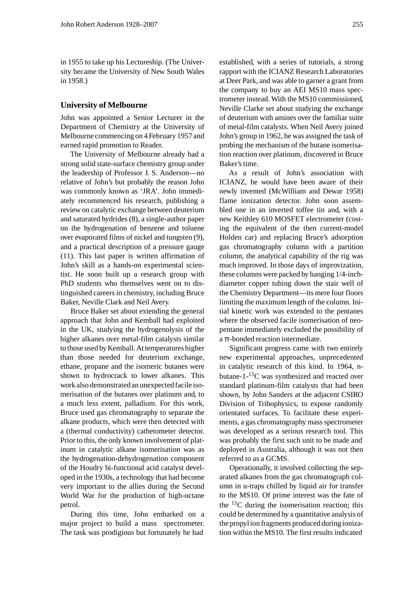in 1955 to take up his Lectureship. (The University became the University of New South Wales in 1958.)

#### **University of Melbourne**

John was appointed a Senior Lecturer in the Department of Chemistry at the University of Melbourne commencing on 4 February 1957 and earned rapid promotion to Reader.

The University of Melbourne already had a strong solid state-surface chemistry group under the leadership of Professor J. S. Anderson—no relative of John's but probably the reason John was commonly known as 'JRA'. John immediately recommenced his research, publishing a review on catalytic exchange between deuterium and saturated hydrides (8), a single-author paper on the hydrogenation of benzene and toluene over evaporated films of nickel and tungsten (9), and a practical description of a pressure gauge (11). This last paper is written affirmation of John's skill as a hands-on experimental scientist. He soon built up a research group with PhD students who themselves went on to distinguished careers in chemistry, including Bruce Baker, Neville Clark and Neil Avery.

Bruce Baker set about extending the general approach that John and Kemball had exploited in the UK, studying the hydrogenolysis of the higher alkanes over metal-film catalysts similar to those used by Kemball. At temperatures higher than those needed for deuterium exchange, ethane, propane and the isomeric butanes were shown to hydrocrack to lower alkanes. This work also demonstrated an unexpected facile isomerisation of the butanes over platinum and, to a much less extent, palladium. For this work, Bruce used gas chromatography to separate the alkane products, which were then detected with a (thermal conductivity) cathetometer detector. Prior to this, the only known involvement of platinum in catalytic alkane isomerisation was as the hydrogenation-dehydrogenation component of the Houdry bi-functional acid catalyst developed in the 1930s, a technology that had become very important to the allies during the Second World War for the production of high-octane petrol.

During this time, John embarked on a major project to build a mass spectrometer. The task was prodigious but fortunately he had established, with a series of tutorials, a strong rapport with the ICIANZ Research Laboratories at Deer Park, and was able to garner a grant from the company to buy an AEI MS10 mass spectrometer instead. With the MS10 commissioned, Neville Clarke set about studying the exchange of deuterium with amines over the familiar suite of metal-film catalysts. When Neil Avery joined John's group in 1962, he was assigned the task of probing the mechanism of the butane isomerisation reaction over platinum, discovered in Bruce Baker's time.

As a result of John's association with ICIANZ, he would have been aware of their newly invented (McWilliam and Dewar 1958) flame ionization detector. John soon assembled one in an inverted toffee tin and, with a new Keithley 610 MOSFET electrometer (costing the equivalent of the then current-model Holden car) and replacing Bruce's adsorption gas chromatography column with a partition column, the analytical capability of the rig was much improved. In those days of improvization, these columns were packed by hanging 1/4-inchdiameter copper tubing down the stair well of the Chemistry Department—its mere four floors limiting the maximum length of the column. Initial kinetic work was extended to the pentanes where the observed facile isomerisation of neopentane immediately excluded the possibility of a π-bonded reaction intermediate.

Significant progress came with two entirely new experimental approaches, unprecedented in catalytic research of this kind. In 1964, nbutane-1-<sup>13</sup>C was synthesized and reacted over standard platinum-film catalysts that had been shown, by John Sanders at the adjacent CSIRO Division of Tribophysics, to expose randomly orientated surfaces. To facilitate these experiments, a gas chromatography mass spectrometer was developed as a serious research tool. This was probably the first such unit to be made and deployed in Australia, although it was not then referred to as a GCMS.

Operationally, it involved collecting the separated alkanes from the gas chromatograph column in u-traps chilled by liquid air for transfer to the MS10. Of prime interest was the fate of the  $^{13}$ C during the isomerisation reaction; this could be determined by a quantitative analysis of the propylion fragments produced during ionization within the MS10. The first results indicated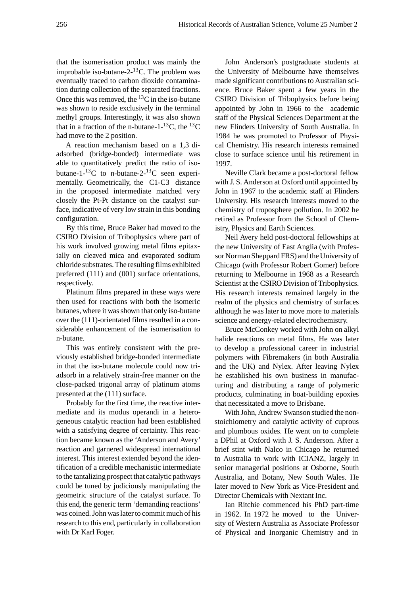that the isomerisation product was mainly the improbable iso-butane-2- 13C. The problem was eventually traced to carbon dioxide contamination during collection of the separated fractions. Once this was removed, the  ${}^{13}$ C in the iso-butane was shown to reside exclusively in the terminal methyl groups. Interestingly, it was also shown that in a fraction of the n-butane- $1$ - $^{13}$ C, the  $^{13}$ C had move to the 2 position.

A reaction mechanism based on a 1,3 diadsorbed (bridge-bonded) intermediate was able to quantitatively predict the ratio of isobutane-1- $^{13}$ C to n-butane-2- $^{13}$ C seen experimentally. Geometrically, the C1-C3 distance in the proposed intermediate matched very closely the Pt-Pt distance on the catalyst surface, indicative of very low strain in this bonding configuration.

By this time, Bruce Baker had moved to the CSIRO Division of Tribophysics where part of his work involved growing metal films epitaxially on cleaved mica and evaporated sodium chloride substrates.The resulting films exhibited preferred (111) and (001) surface orientations, respectively.

Platinum films prepared in these ways were then used for reactions with both the isomeric butanes, where it was shown that only iso-butane over the (111)-orientated films resulted in a considerable enhancement of the isomerisation to n-butane.

This was entirely consistent with the previously established bridge-bonded intermediate in that the iso-butane molecule could now triadsorb in a relatively strain-free manner on the close-packed trigonal array of platinum atoms presented at the (111) surface.

Probably for the first time, the reactive intermediate and its modus operandi in a heterogeneous catalytic reaction had been established with a satisfying degree of certainty. This reaction became known as the 'Anderson and Avery' reaction and garnered widespread international interest. This interest extended beyond the identification of a credible mechanistic intermediate to the tantalizing prospect that catalytic pathways could be tuned by judiciously manipulating the geometric structure of the catalyst surface. To this end, the generic term 'demanding reactions' was coined. John was later to commit much of his research to this end, particularly in collaboration with Dr Karl Foger.

John Anderson's postgraduate students at the University of Melbourne have themselves made significant contributions to Australian science. Bruce Baker spent a few years in the CSIRO Division of Tribophysics before being appointed by John in 1966 to the academic staff of the Physical Sciences Department at the new Flinders University of South Australia. In 1984 he was promoted to Professor of Physical Chemistry. His research interests remained close to surface science until his retirement in 1997.

Neville Clark became a post-doctoral fellow with J. S. Anderson at Oxford until appointed by John in 1967 to the academic staff at Flinders University. His research interests moved to the chemistry of troposphere pollution. In 2002 he retired as Professor from the School of Chemistry, Physics and Earth Sciences.

Neil Avery held post-doctoral fellowships at the new University of East Anglia (with Professor Norman Sheppard FRS) and the University of Chicago (with Professor Robert Gomer) before returning to Melbourne in 1968 as a Research Scientist at the CSIRO Division of Tribophysics. His research interests remained largely in the realm of the physics and chemistry of surfaces although he was later to move more to materials science and energy-related electrochemistry.

Bruce McConkey worked with John on alkyl halide reactions on metal films. He was later to develop a professional career in industrial polymers with Fibremakers (in both Australia and the UK) and Nylex. After leaving Nylex he established his own business in manufacturing and distributing a range of polymeric products, culminating in boat-building epoxies that necessitated a move to Brisbane.

With John, Andrew Swanson studied the nonstoichiometry and catalytic activity of cuprous and plumbous oxides. He went on to complete a DPhil at Oxford with J. S. Anderson. After a brief stint with Nalco in Chicago he returned to Australia to work with ICIANZ, largely in senior managerial positions at Osborne, South Australia, and Botany, New South Wales. He later moved to New York as Vice-President and Director Chemicals with Nextant Inc.

Ian Ritchie commenced his PhD part-time in 1962. In 1972 he moved to the University of Western Australia as Associate Professor of Physical and Inorganic Chemistry and in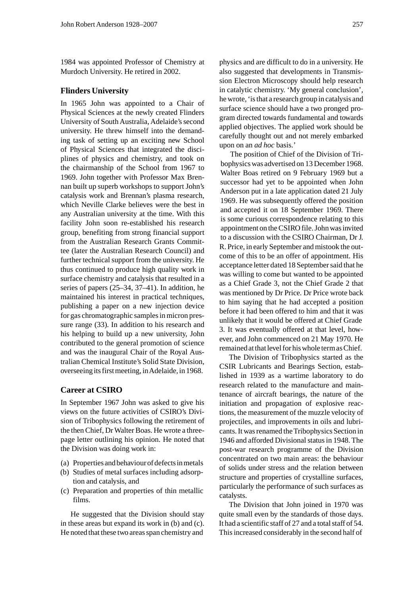1984 was appointed Professor of Chemistry at Murdoch University. He retired in 2002.

#### **Flinders University**

In 1965 John was appointed to a Chair of Physical Sciences at the newly created Flinders University of South Australia, Adelaide's second university. He threw himself into the demanding task of setting up an exciting new School of Physical Sciences that integrated the disciplines of physics and chemistry, and took on the chairmanship of the School from 1967 to 1969. John together with Professor Max Brennan built up superb workshops to support John's catalysis work and Brennan's plasma research, which Neville Clarke believes were the best in any Australian university at the time. With this facility John soon re-established his research group, benefiting from strong financial support from the Australian Research Grants Committee (later the Australian Research Council) and further technical support from the university. He thus continued to produce high quality work in surface chemistry and catalysis that resulted in a series of papers (25–34, 37–41). In addition, he maintained his interest in practical techniques, publishing a paper on a new injection device for gas chromatographic samples in micron pressure range (33). In addition to his research and his helping to build up a new university, John contributed to the general promotion of science and was the inaugural Chair of the Royal Australian Chemical Institute's Solid State Division, overseeing its first meeting, in Adelaide, in 1968.

## **Career at CSIRO**

In September 1967 John was asked to give his views on the future activities of CSIRO's Division of Tribophysics following the retirement of the then Chief, Dr Walter Boas. He wrote a threepage letter outlining his opinion. He noted that the Division was doing work in:

- (a) Properties and behaviour of defects in metals
- (b) Studies of metal surfaces including adsorption and catalysis, and
- (c) Preparation and properties of thin metallic films.

He suggested that the Division should stay in these areas but expand its work in (b) and (c). He noted that these two areas span chemistry and physics and are difficult to do in a university. He also suggested that developments in Transmission Electron Microscopy should help research in catalytic chemistry. 'My general conclusion', he wrote,'isthat a research group in catalysis and surface science should have a two pronged program directed towards fundamental and towards applied objectives. The applied work should be carefully thought out and not merely embarked upon on an *ad hoc* basis.'

The position of Chief of the Division of Tribophysicswas advertised on 13 December 1968. Walter Boas retired on 9 February 1969 but a successor had yet to be appointed when John Anderson put in a late application dated 21 July 1969. He was subsequently offered the position and accepted it on 18 September 1969. There is some curious correspondence relating to this appointment on the CSIRO file. John was invited to a discussion with the CSIRO Chairman, Dr J. R. Price, in early September and mistook the outcome of this to be an offer of appointment. His acceptance letter dated 18 September said that he was willing to come but wanted to be appointed as a Chief Grade 3, not the Chief Grade 2 that was mentioned by Dr Price. Dr Price wrote back to him saying that he had accepted a position before it had been offered to him and that it was unlikely that it would be offered at Chief Grade 3. It was eventually offered at that level, however, and John commenced on 21 May 1970. He remained at that level for his whole term as Chief.

The Division of Tribophysics started as the CSIR Lubricants and Bearings Section, established in 1939 as a wartime laboratory to do research related to the manufacture and maintenance of aircraft bearings, the nature of the initiation and propagation of explosive reactions, the measurement of the muzzle velocity of projectiles, and improvements in oils and lubricants. It was renamed the Tribophysics Section in 1946 and afforded Divisional status in 1948. The post-war research programme of the Division concentrated on two main areas: the behaviour of solids under stress and the relation between structure and properties of crystalline surfaces, particularly the performance of such surfaces as catalysts.

The Division that John joined in 1970 was quite small even by the standards of those days. It had a scientific staff of 27 and a total staff of 54. Thisincreased considerably in the second half of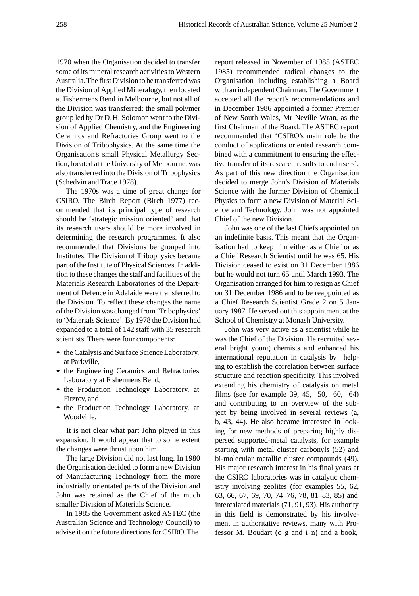1970 when the Organisation decided to transfer some of its mineral research activities to Western Australia.The first Division to be transferredwas the Division of Applied Mineralogy, then located at Fishermens Bend in Melbourne, but not all of the Division was transferred: the small polymer group led by Dr D. H. Solomon went to the Division of Applied Chemistry, and the Engineering Ceramics and Refractories Group went to the Division of Tribophysics. At the same time the Organisation's small Physical Metallurgy Section, located at the University of Melbourne, was also transferred into the Division of Tribophysics (Schedvin and Trace 1978).

The 1970s was a time of great change for CSIRO. The Birch Report (Birch 1977) recommended that its principal type of research should be 'strategic mission oriented' and that its research users should be more involved in determining the research programmes. It also recommended that Divisions be grouped into Institutes. The Division of Tribophysics became part of the Institute of Physical Sciences. In addition to these changes the staff and facilities of the Materials Research Laboratories of the Department of Defence in Adelaide were transferred to the Division. To reflect these changes the name of the Division was changed from 'Tribophysics' to 'Materials Science'. By 1978 the Division had expanded to a total of 142 staff with 35 research scientists. There were four components:

- theCatalysis and Surface Science Laboratory, at Parkville,
- the Engineering Ceramics and Refractories Laboratory at Fishermens Bend,
- the Production Technology Laboratory, at Fitzroy, and
- the Production Technology Laboratory, at Woodville.

It is not clear what part John played in this expansion. It would appear that to some extent the changes were thrust upon him.

The large Division did not last long. In 1980 the Organisation decided to form a new Division of Manufacturing Technology from the more industrially orientated parts of the Division and John was retained as the Chief of the much smaller Division of Materials Science.

In 1985 the Government asked ASTEC (the Australian Science and Technology Council) to advise it on the future directions for CSIRO. The

report released in November of 1985 (ASTEC 1985) recommended radical changes to the Organisation including establishing a Board with an independent Chairman. The Government accepted all the report's recommendations and in December 1986 appointed a former Premier of New South Wales, Mr Neville Wran, as the first Chairman of the Board. The ASTEC report recommended that 'CSIRO's main role be the conduct of applications oriented research combined with a commitment to ensuring the effective transfer of its research results to end users'. As part of this new direction the Organisation decided to merge John's Division of Materials Science with the former Division of Chemical Physics to form a new Division of Material Science and Technology. John was not appointed Chief of the new Division.

John was one of the last Chiefs appointed on an indefinite basis. This meant that the Organisation had to keep him either as a Chief or as a Chief Research Scientist until he was 65. His Division ceased to exist on 31 December 1986 but he would not turn 65 until March 1993. The Organisation arranged for him to resign as Chief on 31 December 1986 and to be reappointed as a Chief Research Scientist Grade 2 on 5 January 1987. He served out this appointment at the School of Chemistry at Monash University.

John was very active as a scientist while he was the Chief of the Division. He recruited several bright young chemists and enhanced his international reputation in catalysis by helping to establish the correlation between surface structure and reaction specificity. This involved extending his chemistry of catalysis on metal films (see for example 39, 45, 50, 60, 64) and contributing to an overview of the subject by being involved in several reviews (a, b, 43, 44). He also became interested in looking for new methods of preparing highly dispersed supported-metal catalysts, for example starting with metal cluster carbonyls (52) and bi-molecular metallic cluster compounds (49). His major research interest in his final years at the CSIRO laboratories was in catalytic chemistry involving zeolites (for examples 55, 62, 63, 66, 67, 69, 70, 74–76, 78, 81–83, 85) and intercalated materials (71, 91, 93). His authority in this field is demonstrated by his involvement in authoritative reviews, many with Professor M. Boudart (c–g and i–n) and a book,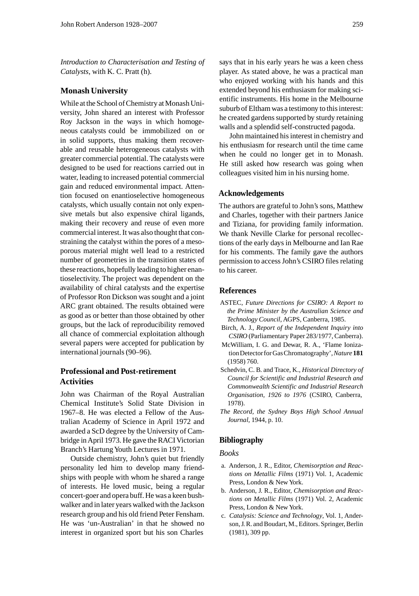*Introduction to Characterisation and Testing of Catalysts*, with K. C. Pratt (h).

### **Monash University**

While at the School of Chemistry at Monash University, John shared an interest with Professor Roy Jackson in the ways in which homogeneous catalysts could be immobilized on or in solid supports, thus making them recoverable and reusable heterogeneous catalysts with greater commercial potential. The catalysts were designed to be used for reactions carried out in water, leading to increased potential commercial gain and reduced environmental impact. Attention focused on enantioselective homogeneous catalysts, which usually contain not only expensive metals but also expensive chiral ligands, making their recovery and reuse of even more commercial interest.It was also thought that constraining the catalyst within the pores of a mesoporous material might well lead to a restricted number of geometries in the transition states of these reactions, hopefully leading to higher enantioselectivity. The project was dependent on the availability of chiral catalysts and the expertise of Professor Ron Dickson wassought and a joint ARC grant obtained. The results obtained were as good as or better than those obtained by other groups, but the lack of reproducibility removed all chance of commercial exploitation although several papers were accepted for publication by international journals(90–96).

## **Professional and Post-retirement Activities**

John was Chairman of the Royal Australian Chemical Institute's Solid State Division in 1967–8. He was elected a Fellow of the Australian Academy of Science in April 1972 and awarded a ScD degree by the University of Cambridge in April 1973. He gave the RACI Victorian Branch's HartungYouth Lectures in 1971.

Outside chemistry, John's quiet but friendly personality led him to develop many friendships with people with whom he shared a range of interests. He loved music, being a regular concert-goer and opera buff. He was a keen bushwalker and in later years walked with the Jackson research group and his old friend Peter Fensham. He was 'un-Australian' in that he showed no interest in organized sport but his son Charles says that in his early years he was a keen chess player. As stated above, he was a practical man who enjoyed working with his hands and this extended beyond his enthusiasm for making scientific instruments. His home in the Melbourne suburb of Eltham was a testimony to this interest: he created gardens supported by sturdy retaining walls and a splendid self-constructed pagoda.

John maintained his interest in chemistry and his enthusiasm for research until the time came when he could no longer get in to Monash. He still asked how research was going when colleagues visited him in his nursing home.

#### **Acknowledgements**

The authors are grateful to John's sons, Matthew and Charles, together with their partners Janice and Tiziana, for providing family information. We thank Neville Clarke for personal recollections of the early days in Melbourne and Ian Rae for his comments. The family gave the authors permission to accessJohn's CSIRO files relating to his career.

## **References**

- ASTEC, *Future Directions for CSIRO: A Report to the Prime Minister by the Australian Science and Technology Council*, AGPS, Canberra, 1985.
- Birch, A. J., *Report of the Independent Inquiry into CSIRO* (Parliamentary Paper 283/1977, Canberra).
- McWilliam, I. G. and Dewar, R. A., 'Flame IonizationDetectorforGasChromatography',*Nature* **181** (1958) 760.
- Schedvin, C. B. and Trace, K., *Historical Directory of Council for Scientific and Industrial Research and Commonwealth Scientific and Industrial Research Organisation, 1926 to 1976* (CSIRO, Canberra, 1978).
- *The Record, the Sydney Boys High School Annual Journal*, 1944, p. 10.

### **Bibliography**

### *Books*

- a. Anderson, J. R., Editor, *Chemisorption and Reactions on Metallic Films* (1971) Vol. 1, Academic Press, London & New York.
- b. Anderson, J. R., Editor, *Chemisorption and Reactions on Metallic Films* (1971) Vol. 2, Academic Press, London & New York.
- c. *Catalysis: Science and Technology*, Vol. 1, Anderson, J.R. and Boudart, M., Editors. Springer, Berlin (1981), 309 pp.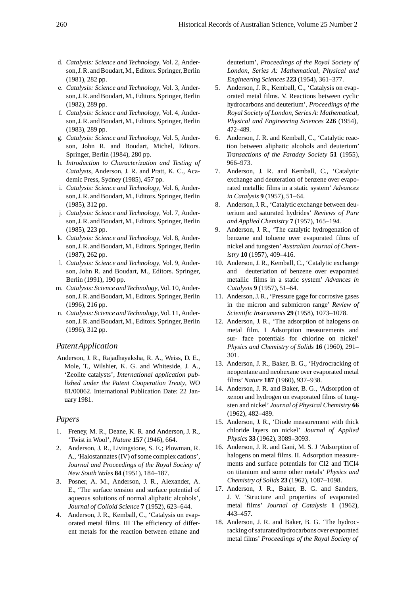- d. *Catalysis: Science and Technology*, Vol. 2, Anderson, J. R. and Boudart, M., Editors. Springer, Berlin (1981), 282 pp.
- e. *Catalysis: Science and Technology*, Vol. 3, Anderson, J.R. and Boudart, M., Editors. Springer, Berlin (1982), 289 pp.
- f. *Catalysis: Science and Technology*, Vol. 4, Anderson, J. R. and Boudart, M., Editors. Springer, Berlin (1983), 289 pp.
- g. *Catalysis: Science and Technology*, Vol. 5, Anderson, John R. and Boudart, Michel, Editors. Springer, Berlin (1984), 280 pp.
- h. *Introduction to Characterization and Testing of Catalysts*, Anderson, J. R. and Pratt, K. C., Academic Press, Sydney (1985), 457 pp.
- i. *Catalysis: Science and Technology*, Vol. 6, Anderson, J. R. and Boudart, M., Editors. Springer, Berlin (1985), 312 pp.
- j. *Catalysis: Science and Technology*, Vol. 7, Anderson, J.R. and Boudart, M., Editors. Springer, Berlin (1985), 223 pp.
- k. *Catalysis: Science and Technology*, Vol. 8, Anderson, J. R. and Boudart, M., Editors. Springer, Berlin (1987), 262 pp.
- l. *Catalysis: Science and Technology*, Vol. 9, Anderson, John R. and Boudart, M., Editors. Springer, Berlin (1991), 190 pp.
- m. *Catalysis: Science and Technology*,Vol. 10,Anderson, J.R. and Boudart, M., Editors. Springer, Berlin (1996), 216 pp.
- n. *Catalysis: Science and Technology*,Vol. 11,Anderson, J. R. and Boudart, M., Editors. Springer, Berlin (1996), 312 pp.

## *PatentApplication*

Anderson, J. R., Rajadhayaksha, R. A., Weiss, D. E., Mole, T., Wilshier, K. G. and Whiteside, J. A., 'Zeolite catalysts', *International application published under the Patent Cooperation Treaty*, WO 81/00062. International Publication Date: 22 January 1981.

#### *Papers*

- 1. Freney, M. R., Deane, K. R. and Anderson, J. R., 'Twist in Wool', *Nature* **157** (1946), 664.
- 2. Anderson, J. R., Livingstone, S. E.; Plowman, R. A., 'Halostannates (IV) of some complex cations', *Journal and Proceedings of the Royal Society of New South Wales* **84** (1951), 184–187.
- 3. Posner, A. M., Anderson, J. R., Alexander, A. E., 'The surface tension and surface potential of aqueous solutions of normal aliphatic alcohols', *Journal of Colloid Science* **7** (1952), 623–644.
- 4. Anderson, J. R., Kemball, C., 'Catalysis on evaporated metal films. III The efficiency of different metals for the reaction between ethane and

deuterium', *Proceedings of the Royal Society of London, Series A: Mathematical, Physical and Engineering Sciences* **223** (1954), 361–377.

- 5. Anderson, J. R., Kemball, C., 'Catalysis on evaporated metal films. V. Reactions between cyclic hydrocarbons and deuterium', *Proceedings of the Royal Society of London, Series A: Mathematical, Physical and Engineering Sciences* **226** (1954), 472–489.
- 6. Anderson, J. R. and Kemball, C., 'Catalytic reaction between aliphatic alcohols and deuterium' *Transactions of the Faraday Society* **51** (1955), 966–973.
- 7. Anderson, J. R. and Kemball, C., 'Catalytic exchange and deuteration of benzene over evaporated metallic films in a static system' *Advances in Catalysis* **9** (1957), 51–64.
- 8. Anderson,J. R., 'Catalytic exchange between deuterium and saturated hydrides' *Reviews of Pure and Applied Chemistry* **7** (1957), 165–194.
- 9. Anderson, J. R., 'The catalytic hydrogenation of benzene and toluene over evaporated films of nickel and tungsten' *Australian Journal of Chemistry* **10** (1957), 409–416.
- 10. Anderson, J. R., Kemball, C., 'Catalytic exchange and deuteriation of benzene over evaporated metallic films in a static system' *Advances in Catalysis* **9** (1957), 51–64.
- 11. Anderson, J. R., 'Pressure gage for corrosive gases in the micron and submicron range' *Review of Scientific Instruments* **29** (1958), 1073–1078.
- 12. Anderson, J. R., 'The adsorption of halogens on metal film. I Adsorption measurements and sur- face potentials for chlorine on nickel' *Physics and Chemistry of Solids* **16** (1960), 291– 301.
- 13. Anderson, J. R., Baker, B. G., 'Hydrocracking of neopentane and neohexane over evaporated metal films'*Nature* **187** (1960), 937–938.
- 14. Anderson, J. R. and Baker, B. G., 'Adsorption of xenon and hydrogen on evaporated films of tungsten and nickel' *Journal of Physical Chemistry* **66** (1962), 482–489.
- 15. Anderson, J. R., 'Diode measurement with thick chloride layers on nickel' *Journal of Applied Physics* **33** (1962), 3089–3093.
- 16. Anderson, J. R. and Gani, M. S. J 'Adsorption of halogens on metal films. II. Adsorption measurements and surface potentials for Cl2 and TiCl4 on titanium and some other metals' *Physics and Chemistry of Solids* **23** (1962), 1087–1098.
- 17. Anderson, J. R., Baker, B. G. and Sanders, J. V. 'Structure and properties of evaporated metal films' *Journal of Catalysis* **1** (1962), 443–457.
- 18. Anderson, J. R. and Baker, B. G. 'The hydrocracking of saturated hydrocarbons over evaporated metal films' *Proceedings of the Royal Society of*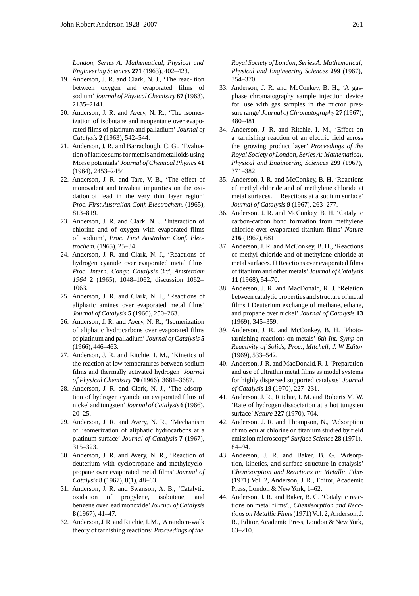*London, Series A: Mathematical, Physical and Engineering Sciences* **271** (1963), 402–423.

- 19. Anderson, J. R. and Clark, N. J., 'The reac- tion between oxygen and evaporated films of sodium' *Journal of PhysicalChemistry* **67** (1963), 2135–2141.
- 20. Anderson, J. R. and Avery, N. R., 'The isomerization of isobutane and neopentane over evaporated films of platinum and palladium' *Journal of Catalysis* **2** (1963), 542–544.
- 21. Anderson, J. R. and Barraclough, C. G., 'Evaluation of lattice sums for metals and metalloids using Morse potentials' *Journal of Chemical Physics* **41** (1964), 2453–2454.
- 22. Anderson, J. R. and Tare, V. B., 'The effect of monovalent and trivalent impurities on the oxidation of lead in the very thin layer region' *Proc. First Australian Conf. Electrochem.* (1965), 813–819.
- 23. Anderson, J. R. and Clark, N. J. 'Interaction of chlorine and of oxygen with evaporated films of sodium', *Proc. First Australian Conf. Electrochem.* (1965), 25–34.
- 24. Anderson, J. R. and Clark, N. J., 'Reactions of hydrogen cyanide over evaporated metal films' *Proc. Intern. Congr. Catalysis 3rd, Amsterdam 1964* **2** (1965), 1048–1062, discussion 1062– 1063.
- 25. Anderson, J. R. and Clark, N. J., 'Reactions of aliphatic amines over evaporated metal films' *Journal of Catalysis* **5** (1966), 250–263.
- 26. Anderson, J. R. and Avery, N. R., 'Isomerization of aliphatic hydrocarbons over evaporated films of platinum and palladium' *Journal of Catalysis* **5** (1966), 446–463.
- 27. Anderson, J. R. and Ritchie, I. M., 'Kinetics of the reaction at low temperatures between sodium films and thermally activated hydrogen' *Journal of Physical Chemistry* **70** (1966), 3681–3687.
- 28. Anderson, J. R. and Clark, N. J., 'The adsorption of hydrogen cyanide on evaporated films of nickel and tungsten'*Journal ofCatalysis* **6** (1966),  $20 - 25$ .
- 29. Anderson, J. R. and Avery, N. R., 'Mechanism of isomerization of aliphatic hydrocarbons at a platinum surface' *Journal of Catalysis* **7** (1967), 315–323.
- 30. Anderson, J. R. and Avery, N. R., 'Reaction of deuterium with cyclopropane and methylcyclopropane over evaporated metal films' *Journal of Catalysis* **8** (1967), 8(1), 48–63.
- 31. Anderson, J. R. and Swanson, A. B., 'Catalytic oxidation of propylene, isobutene, and benzene over lead monoxide'*Journal of Catalysis* **8** (1967), 41–47.
- 32. Anderson,J.R. andRitchie,I. M.,'A random-walk theory of tarnishing reactions'*Proceedings of the*

*Royal Society of London, SeriesA: Mathematical, Physical and Engineering Sciences* **299** (1967), 354–370.

- 33. Anderson, J. R. and McConkey, B. H., 'A gasphase chromatography sample injection device for use with gas samples in the micron pressure range'*Journal ofChromatography* **27** (1967), 480–481.
- 34. Anderson, J. R. and Ritchie, I. M., 'Effect on a tarnishing reaction of an electric field across the growing product layer' *Proceedings of the Royal Society of London, Series A: Mathematical, Physical and Engineering Sciences* **299** (1967), 371–382.
- 35. Anderson, J. R. and McConkey, B. H. 'Reactions of methyl chloride and of methylene chloride at metal surfaces. I 'Reactions at a sodium surface' *Journal of Catalysis* **9** (1967), 263–277.
- 36. Anderson, J. R. and McConkey, B. H. 'Catalytic carbon-carbon bond formation from methylene chloride over evaporated titanium films' *Nature* **216** (1967), 681.
- 37. Anderson, J. R. and McConkey, B. H., 'Reactions of methyl chloride and of methylene chloride at metal surfaces. II Reactions over evaporated films of titanium and other metals' *Journal of Catalysis* **11** (1968), 54–70.
- 38. Anderson, J. R. and MacDonald, R. J. 'Relation between catalytic properties and structure of metal films I Deuterium exchange of methane, ethane, and propane over nickel' *Journal of Catalysis* **13** (1969), 345–359.
- 39. Anderson, J. R. and McConkey, B. H. 'Phototarnishing reactions on metals' *6th Int. Symp on Reactivity of Solids, Proc., Mitchell, J. W Editor* (1969), 533–542.
- 40. Anderson,J. R. and MacDonald, R.J. 'Preparation and use of ultrathin metal films as model systems for highly dispersed supported catalysts' *Journal of Catalysis* **19** (1970), 227–231.
- 41. Anderson, J. R., Ritchie, I. M. and Roberts M. W. 'Rate of hydrogen dissociation at a hot tungsten surface'*Nature* **227** (1970), 704.
- 42. Anderson, J. R. and Thompson, N., 'Adsorption of molecular chlorine on titanium studied by field emission microscopy' *Surface Science* **28** (1971), 84–94.
- 43. Anderson, J. R. and Baker, B. G. 'Adsorption, kinetics, and surface structure in catalysis' *Chemisorption and Reactions on Metallic Films* (1971) Vol. 2, Anderson, J. R., Editor, Academic Press, London & New York, 1-62.
- 44. Anderson, J. R. and Baker, B. G. 'Catalytic reactions on metal films'., *Chemisorption and Reactions on Metallic Films* (1971) Vol. 2, Anderson, J. R., Editor, Academic Press, London & New York, 63–210.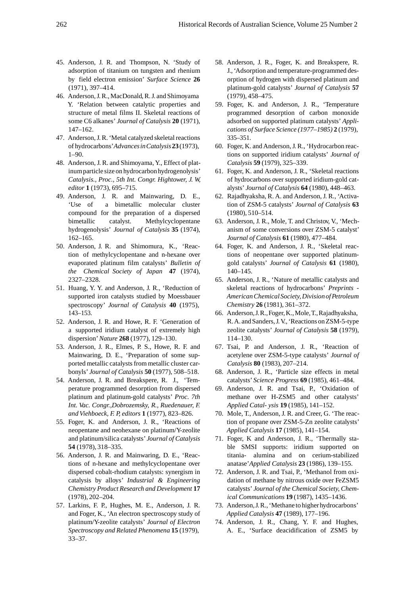- 45. Anderson, J. R. and Thompson, N. 'Study of adsorption of titanium on tungsten and rhenium by field electron emission' *Surface Science* **26** (1971), 397–414.
- 46. Anderson,J.R., MacDonald,R.J. and Shimoyama Y. 'Relation between catalytic properties and structure of metal films II. Skeletal reactions of some C6 alkanes' *Journal of Catalysis* **20** (1971), 147–162.
- 47. Anderson, J. R. 'Metal catalyzed skeletal reactions of hydrocarbons'*AdvancesinCatalysis***23**(1973), 1–90.
- 48. Anderson,J. R. and Shimoyama, Y., Effect of platinumparticle size on hydrocarbon hydrogenolysis' *Catalysis., Proc., 5th Int. Congr. Hightower, J. W, editor* **1** (1973), 695–715.
- 49. Anderson, J. R. and Mainwaring, D. E., 'Use of a bimetallic molecular cluster compound for the preparation of a dispersed bimetallic catalyst. Methylcyclopentane hydrogenolysis' *Journal of Catalysis* **35** (1974), 162–165.
- 50. Anderson, J. R. and Shimomura, K., 'Reaction of methylcyclopentane and n-hexane over evaporated platinum film catalysts' *Bulletin of the Chemical Society of Japan* **47** (1974), 2327–2328.
- 51. Huang, Y. Y. and Anderson, J. R., 'Reduction of supported iron catalysts studied by Moessbauer spectroscopy' *Journal of Catalysis* **40** (1975), 143–153.
- 52. Anderson, J. R. and Howe, R. F. 'Generation of a supported iridium catalyst of extremely high dispersion'*Nature* **268** (1977), 129–130.
- 53. Anderson, J. R., Elmes, P. S., Howe, R. F. and Mainwaring, D. E., 'Preparation of some supported metallic catalysts from metallic cluster carbonyls' *Journal of Catalysis* **50** (1977), 508–518.
- 54. Anderson, J. R. and Breakspere, R. J., 'Temperature programmed desorption from dispersed platinum and platinum-gold catalysts' *Proc. 7th Int. Vac. Congr.,Dobrozemsky, R., Ruedenauer, F. and Viehboeck, F. P, editors* **1** (1977), 823–826.
- 55. Foger, K. and Anderson, J. R., 'Reactions of neopentane and neohexane on platinum/Y-zeolite and platinum/silica catalysts' *Journal of Catalysis* **54** (1978), 318–335.
- 56. Anderson, J. R. and Mainwaring, D. E., 'Reactions of n-hexane and methylcyclopentane over dispersed cobalt-rhodium catalysts: synergism in catalysis by alloys' *Industrial & Engineering Chemistry Product Research and Development* **17** (1978), 202–204.
- 57. Larkins, F. P., Hughes, M. E., Anderson, J. R. and Foger, K., 'An electron spectroscopy study of platinum/Y-zeolite catalysts' *Journal of Electron Spectroscopy and Related Phenomena* **15** (1979), 33–37.
- 58. Anderson, J. R., Foger, K. and Breakspere, R. J., 'Adsorption and temperature-programmed desorption of hydrogen with dispersed platinum and platinum-gold catalysts' *Journal of Catalysis* **57** (1979), 458–475.
- 59. Foger, K. and Anderson, J. R., 'Temperature programmed desorption of carbon monoxide adsorbed on supported platinum catalysts' *Applications of Surface Science (1977–1985)* **2** (1979), 335–351.
- 60. Foger, K. and Anderson,J. R., 'Hydrocarbon reactions on supported iridium catalysts' *Journal of Catalysis* **59** (1979), 325–339.
- 61. Foger, K. and Anderson, J. R., 'Skeletal reactions of hydrocarbons over supported iridium-gold catalysts' *Journal of Catalysis* **64** (1980), 448–463.
- 62. Rajadhyaksha, R. A. and Anderson, J. R., 'Activation of ZSM-5 catalysts' *Journal of Catalysis* **63** (1980), 510–514.
- 63. Anderson, J. R., Mole, T. and Christov, V., 'Mechanism of some conversions over ZSM-5 catalyst' *Journal of Catalysis* **61** (1980), 477–484.
- 64. Foger, K. and Anderson, J. R., 'Skeletal reactions of neopentane over supported platinumgold catalysts' *Journal of Catalysis* **61** (1980), 140–145.
- 65. Anderson, J. R., 'Nature of metallic catalysts and skeletal reactions of hydrocarbons' *Preprints - AmericanChemical Society,Division ofPetroleum Chemistry* **26** (1981), 361–372.
- 66. Anderson,J.R.,Foger,K.,Mole,T.,Rajadhyaksha, R.A. andSanders,J.V.,'Reactions onZSM-5-type zeolite catalysts' *Journal of Catalysis* **58** (1979), 114–130.
- 67. Tsai, P. and Anderson, J. R., 'Reaction of acetylene over ZSM-5-type catalysts' *Journal of Catalysis* **80** (1983), 207–214.
- 68. Anderson, J. R., 'Particle size effects in metal catalysts' *Science Progress* **69** (1985), 461–484.
- 69. Anderson, J. R. and Tsai, P., 'Oxidation of methane over H-ZSM5 and other catalysts' *Applied Catal- ysis* **19** (1985), 141–152.
- 70. Mole, T., Anderson, J. R. and Creer, G. 'The reaction of propane over ZSM-5-Zn zeolite catalysts' *Applied Catalysis* **17** (1985), 141–154.
- 71. Foger, K and Anderson, J. R., 'Thermally stable SMSI supports: iridium supported on titania- alumina and on cerium-stabilized anatase'*Applied Catalysis* **23** (1986), 139–155.
- 72. Anderson, J. R. and Tsai, P., 'Methanol from oxidation of methane by nitrous oxide over FeZSM5 catalysts' *Journal of the Chemical Society, Chemical Communications* **19** (1987), 1435–1436.
- 73. Anderson,J.R.,'Methane to higher hydrocarbons' *Applied Catalysis* **47** (1989), 177–196.
- 74. Anderson, J. R., Chang, Y. F. and Hughes, A. E., 'Surface deacidification of ZSM5 by